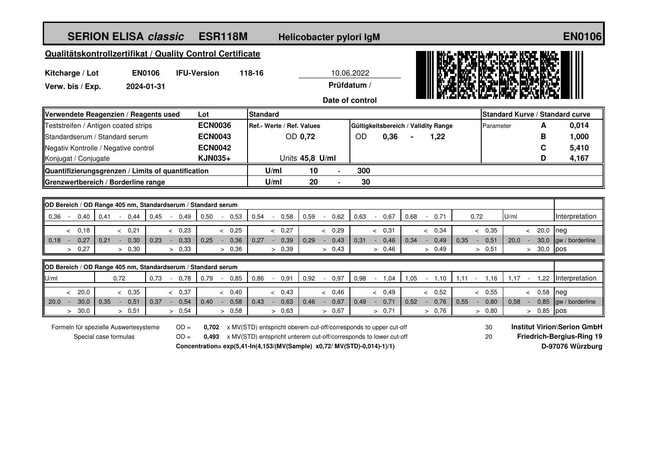| <b>SERION ELISA classic</b>                                                        | <b>ESR118M</b><br>Helicobacter pylori IgM |                        |                |                 |                                  |                                                                                                                                                                                                                                              |                                  |                 |                |           |                                        |                                     |      |                                  | <b>EN0106</b>          |           |      |                 |       |                                                                                            |
|------------------------------------------------------------------------------------|-------------------------------------------|------------------------|----------------|-----------------|----------------------------------|----------------------------------------------------------------------------------------------------------------------------------------------------------------------------------------------------------------------------------------------|----------------------------------|-----------------|----------------|-----------|----------------------------------------|-------------------------------------|------|----------------------------------|------------------------|-----------|------|-----------------|-------|--------------------------------------------------------------------------------------------|
| Qualitätskontrollzertifikat / Quality Control Certificate                          |                                           |                        |                |                 |                                  |                                                                                                                                                                                                                                              |                                  |                 |                |           |                                        |                                     |      |                                  |                        |           |      |                 |       |                                                                                            |
| <b>EN0106</b><br><b>IFU-Version</b><br>Kitcharge / Lot                             |                                           |                        |                |                 | 118-16                           |                                                                                                                                                                                                                                              |                                  |                 | 10.06.2022     |           |                                        |                                     |      |                                  |                        |           |      |                 |       |                                                                                            |
| Verw. bis / Exp.                                                                   | 2024-01-31                                |                        |                |                 |                                  |                                                                                                                                                                                                                                              | Prüfdatum /                      |                 |                |           |                                        |                                     |      |                                  |                        |           |      |                 |       |                                                                                            |
| Date of control                                                                    |                                           |                        |                |                 |                                  |                                                                                                                                                                                                                                              |                                  |                 |                |           |                                        |                                     |      |                                  |                        |           |      |                 |       |                                                                                            |
| Lot<br>Verwendete Reagenzien / Reagents used                                       |                                           |                        |                | <b>Standard</b> |                                  |                                                                                                                                                                                                                                              |                                  |                 |                |           | <b>Standard Kurve / Standard curve</b> |                                     |      |                                  |                        |           |      |                 |       |                                                                                            |
| Teststreifen / Antigen coated strips                                               |                                           |                        |                | <b>ECN0036</b>  |                                  | Ref.- Werte / Ref. Values                                                                                                                                                                                                                    |                                  |                 |                |           |                                        | Gültigkeitsbereich / Validity Range |      |                                  |                        | Parameter |      |                 | A     | 0,014                                                                                      |
| Standardserum / Standard serum                                                     |                                           |                        |                | <b>ECN0043</b>  |                                  |                                                                                                                                                                                                                                              |                                  | OD 0,72         |                | <b>OD</b> |                                        | 0,36                                | 1,22 |                                  |                        |           | В    |                 | 1,000 |                                                                                            |
| Negativ Kontrolle / Negative control                                               |                                           |                        |                | <b>ECN0042</b>  |                                  |                                                                                                                                                                                                                                              |                                  |                 |                |           |                                        |                                     |      |                                  |                        |           |      | C               |       | 5,410                                                                                      |
| Konjugat / Conjugate                                                               |                                           |                        | <b>KJN035+</b> |                 |                                  |                                                                                                                                                                                                                                              |                                  | Units 45,8 U/ml |                |           |                                        |                                     |      |                                  |                        |           | D    |                 | 4,167 |                                                                                            |
| Quantifizierungsgrenzen / Limits of quantification                                 |                                           |                        |                |                 |                                  | U/ml                                                                                                                                                                                                                                         | 10                               |                 |                | 300       |                                        |                                     |      |                                  |                        |           |      |                 |       |                                                                                            |
| Grenzwertbereich / Borderline range                                                |                                           |                        |                |                 |                                  | U/ml                                                                                                                                                                                                                                         | 20                               |                 |                | 30        |                                        |                                     |      |                                  |                        |           |      |                 |       |                                                                                            |
|                                                                                    |                                           |                        |                |                 |                                  |                                                                                                                                                                                                                                              |                                  |                 |                |           |                                        |                                     |      |                                  |                        |           |      |                 |       |                                                                                            |
| OD Bereich / OD Range 405 nm, Standardserum / Standard serum                       |                                           |                        |                |                 |                                  |                                                                                                                                                                                                                                              |                                  |                 |                |           |                                        |                                     |      |                                  |                        |           |      |                 |       |                                                                                            |
| 0,41<br>0.36<br>0,40<br>$\sim$                                                     | 0,44                                      | 0,45<br>$\sim$         | 0,49           | 0,50            | 0,53<br>$\overline{\phantom{a}}$ | 0,54                                                                                                                                                                                                                                         | 0,58<br>$\overline{\phantom{a}}$ | 0,59            | 0,62<br>$\sim$ | 0,63      |                                        | $-0,67$                             | 0,68 | 0,71<br>$\overline{\phantom{a}}$ | 0,72                   |           | U/ml |                 |       | Interpretation                                                                             |
| & 0.18                                                                             | & 0.21                                    |                        | & 0,23         |                 | & 0,25                           |                                                                                                                                                                                                                                              | & 0,27                           |                 | & 0.29         |           |                                        | & 0,31                              |      | < 0.34                           |                        | < 0,35    |      | 20,0<br>$\prec$ | neg   |                                                                                            |
| $0,18 -$<br>0,27<br>0,21<br>$\sim$<br>> 0,27                                       | 0,30                                      | 0.23<br>$\sim$         | 0,33           | 0,25            | 0,36<br>$\sim$                   | 0.27                                                                                                                                                                                                                                         | 0,39<br>$\sim$                   | 0,29            | 0,43<br>$\sim$ | 0.31      | $\sim$                                 | 0,46                                | 0,34 | 0,49<br>$\sim$                   | 0,35<br>$\sim 10^{-1}$ | 0,51      | 20.0 | 30,0<br>$\sim$  |       | gw / borderline                                                                            |
|                                                                                    | > 0,30                                    |                        | > 0,33         |                 | > 0,36                           |                                                                                                                                                                                                                                              | > 0,39                           |                 | > 0,43         |           |                                        | > 0,46                              |      | > 0.49                           |                        | > 0,51    |      | > 30,0          | pos   |                                                                                            |
| OD Bereich / OD Range 405 nm, Standardserum / Standard serum                       |                                           |                        |                |                 |                                  |                                                                                                                                                                                                                                              |                                  |                 |                |           |                                        |                                     |      |                                  |                        |           |      |                 |       |                                                                                            |
| 0,72<br>U/ml                                                                       |                                           | 0,73<br>$\sim$         | 0,78           | 0,79            | 0,85<br>$\sim$                   | 0,86                                                                                                                                                                                                                                         | 0,91<br>$\sim$                   | 0,92            | 0,97<br>$\sim$ | 0,98      |                                        | $-1,04$                             | 1,05 | 1,10<br>$\sim$                   | 1,11<br>$\sim$         | 1,16      | 1,17 | 1,22<br>$\sim$  |       | Interpretation                                                                             |
| < 20.0                                                                             | < 0,35                                    |                        | & 0,37         |                 | < 0,40                           |                                                                                                                                                                                                                                              | < 0,43                           |                 | & 0.46         |           |                                        | < 0,49                              |      | & 0,52                           |                        | < 0,55    |      | 0,58<br>$\leq$  | neg   |                                                                                            |
| 30,0<br>$20.0 -$<br>0,35<br>$\sim$                                                 | 0,51                                      | 0,37<br>$\sim$ $^{-1}$ | 0,54           | 0,40            | 0,58<br>$\sim$                   | 0,43                                                                                                                                                                                                                                         | 0,63<br>$\sim$                   | 0,46            | 0,67<br>$\sim$ | 0,49      | $\sim$ $-$                             | 0,71                                | 0,52 | 0,76<br>$\sim$                   | 0,55<br>$\sim$         | 0,80      | 0,58 | 0,85<br>$\sim$  |       | gw / borderline                                                                            |
| 30,0<br>$\geq$                                                                     | > 0,51                                    |                        | > 0,54         |                 | > 0,58                           |                                                                                                                                                                                                                                              | > 0,63                           |                 | > 0,67         |           |                                        | > 0,71                              |      | > 0,76                           |                        | > 0.80    |      | 0,85<br>$\geq$  | pos   |                                                                                            |
| $OD =$<br>Formeln für spezielle Auswertesysteme<br>$OD =$<br>Special case formulas |                                           |                        |                |                 |                                  | <b>0.702</b> x MV(STD) entspricht oberem cut-off/corresponds to upper cut-off<br>0,493 x MV(STD) entspricht unterem cut-off/corresponds to lower cut-off<br>Concentration= $exp(5.41 \cdot ln(4.153/(MV(Sample)) x0.72/MV(STD)-0.014)-1)/1)$ |                                  |                 |                |           |                                        |                                     |      |                                  | 30<br>20               |           |      |                 |       | <b>Institut Virion\Serion GmbH</b><br><b>Friedrich-Bergius-Ring 19</b><br>D-97076 Würzburg |
|                                                                                    |                                           |                        |                |                 |                                  |                                                                                                                                                                                                                                              |                                  |                 |                |           |                                        |                                     |      |                                  |                        |           |      |                 |       |                                                                                            |